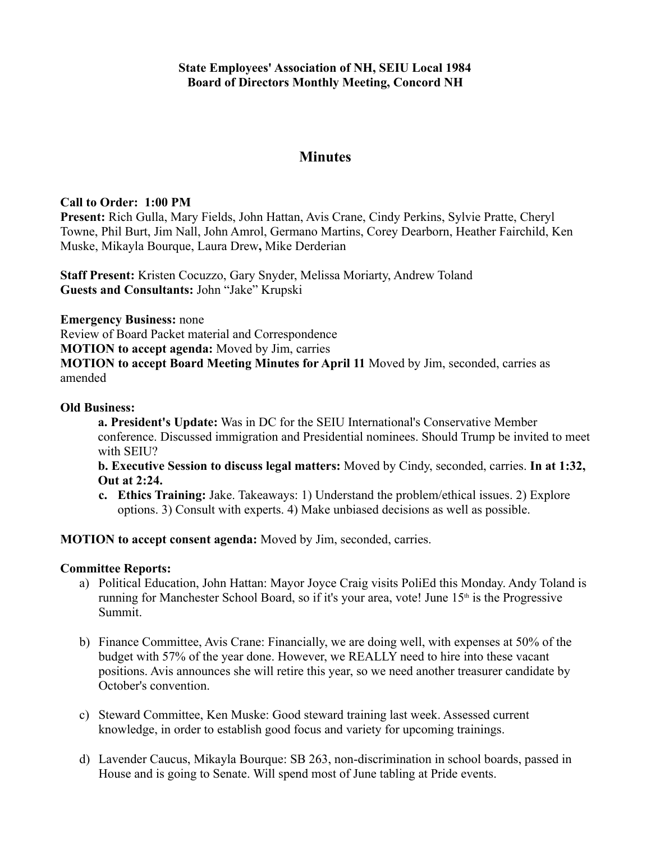## **Minutes**

## **Call to Order: 1:00 PM**

**Present:** Rich Gulla, Mary Fields, John Hattan, Avis Crane, Cindy Perkins, Sylvie Pratte, Cheryl Towne, Phil Burt, Jim Nall, John Amrol, Germano Martins, Corey Dearborn, Heather Fairchild, Ken Muske, Mikayla Bourque, Laura Drew**,** Mike Derderian

**Staff Present:** Kristen Cocuzzo, Gary Snyder, Melissa Moriarty, Andrew Toland **Guests and Consultants:** John "Jake" Krupski

**Emergency Business:** none

Review of Board Packet material and Correspondence

**MOTION to accept agenda:** Moved by Jim, carries

**MOTION to accept Board Meeting Minutes for April 11** Moved by Jim, seconded, carries as amended

## **Old Business:**

**a. President's Update:** Was in DC for the SEIU International's Conservative Member conference. Discussed immigration and Presidential nominees. Should Trump be invited to meet with SEIU?

**b. Executive Session to discuss legal matters:** Moved by Cindy, seconded, carries. **In at 1:32, Out at 2:24.**

**c. Ethics Training:** Jake. Takeaways: 1) Understand the problem/ethical issues. 2) Explore options. 3) Consult with experts. 4) Make unbiased decisions as well as possible.

**MOTION to accept consent agenda:** Moved by Jim, seconded, carries.

## **Committee Reports:**

- a) Political Education, John Hattan: Mayor Joyce Craig visits PoliEd this Monday. Andy Toland is running for Manchester School Board, so if it's your area, vote! June  $15<sup>th</sup>$  is the Progressive Summit.
- b) Finance Committee, Avis Crane: Financially, we are doing well, with expenses at 50% of the budget with 57% of the year done. However, we REALLY need to hire into these vacant positions. Avis announces she will retire this year, so we need another treasurer candidate by October's convention.
- c) Steward Committee, Ken Muske: Good steward training last week. Assessed current knowledge, in order to establish good focus and variety for upcoming trainings.
- d) Lavender Caucus, Mikayla Bourque: SB 263, non-discrimination in school boards, passed in House and is going to Senate. Will spend most of June tabling at Pride events.